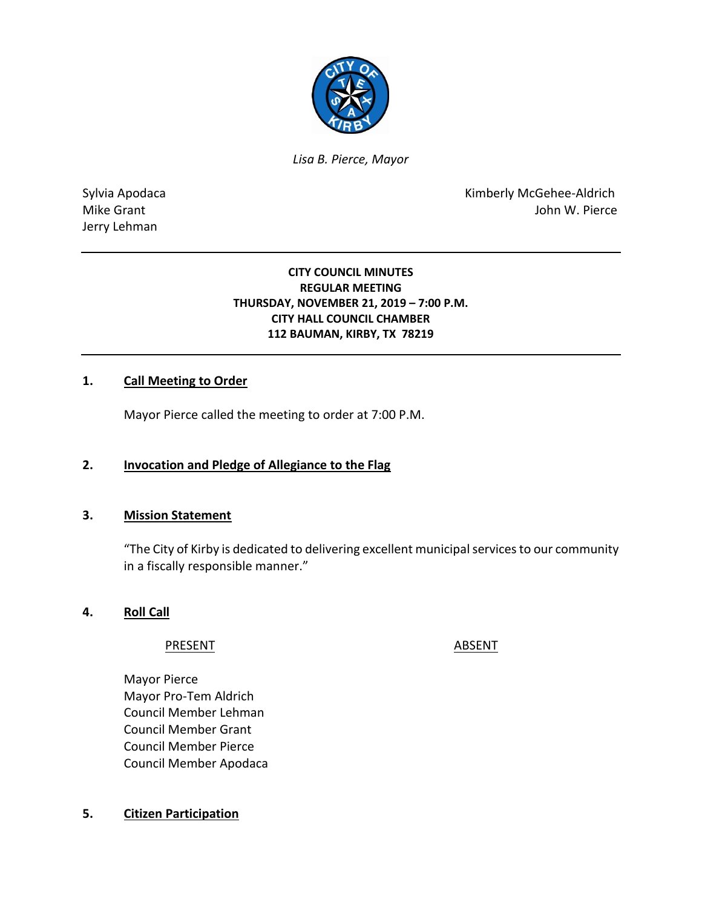

*Lisa B. Pierce, Mayor* 

Jerry Lehman

Sylvia Apodaca **Kimberly McGehee-Aldrich** Mike Grant **Mike Grant** And The Contract of the United States of the United States of the United States of the United States of the United States of the United States of the United States of the United States of the United

#### **CITY COUNCIL MINUTES REGULAR MEETING THURSDAY, NOVEMBER 21, 2019 – 7:00 P.M. CITY HALL COUNCIL CHAMBER 112 BAUMAN, KIRBY, TX 78219**

## **1. Call Meeting to Order**

Mayor Pierce called the meeting to order at 7:00 P.M.

### **2. Invocation and Pledge of Allegiance to the Flag**

#### **3. Mission Statement**

"The City of Kirby is dedicated to delivering excellent municipal services to our community in a fiscally responsible manner."

### **4. Roll Call**

PRESENT ABSENT

Mayor Pierce Mayor Pro-Tem Aldrich Council Member Lehman Council Member Grant Council Member Pierce Council Member Apodaca

### **5. Citizen Participation**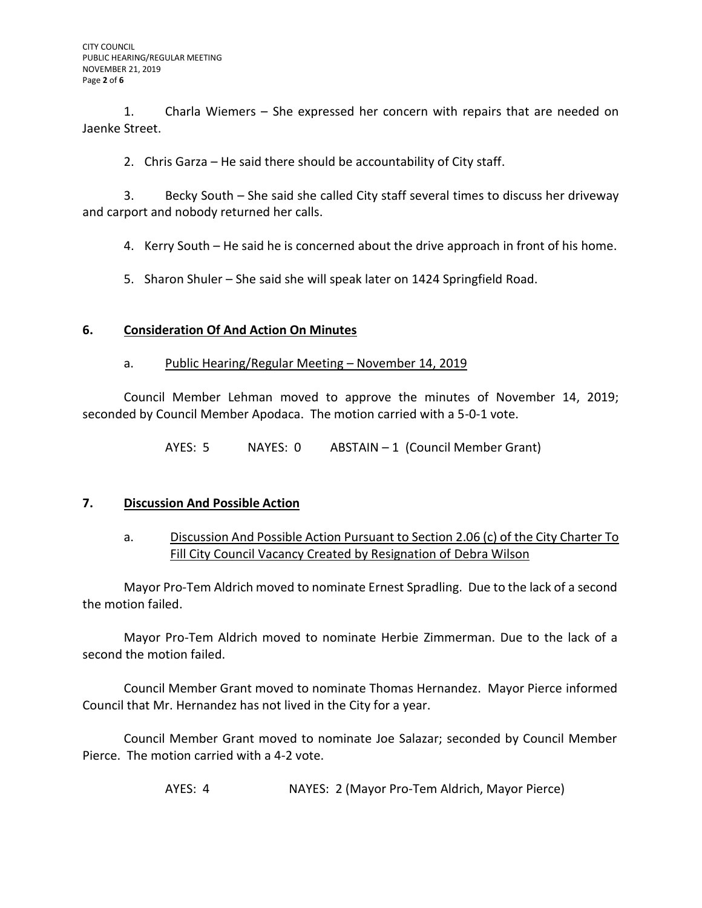1. Charla Wiemers – She expressed her concern with repairs that are needed on Jaenke Street.

2. Chris Garza – He said there should be accountability of City staff.

3. Becky South – She said she called City staff several times to discuss her driveway and carport and nobody returned her calls.

4. Kerry South – He said he is concerned about the drive approach in front of his home.

5. Sharon Shuler – She said she will speak later on 1424 Springfield Road.

## **6. Consideration Of And Action On Minutes**

### a. Public Hearing/Regular Meeting – November 14, 2019

Council Member Lehman moved to approve the minutes of November 14, 2019; seconded by Council Member Apodaca. The motion carried with a 5-0-1 vote.

AYES: 5 NAYES: 0 ABSTAIN – 1 (Council Member Grant)

### **7. Discussion And Possible Action**

## a. Discussion And Possible Action Pursuant to Section 2.06 (c) of the City Charter To Fill City Council Vacancy Created by Resignation of Debra Wilson

Mayor Pro-Tem Aldrich moved to nominate Ernest Spradling. Due to the lack of a second the motion failed.

Mayor Pro-Tem Aldrich moved to nominate Herbie Zimmerman. Due to the lack of a second the motion failed.

Council Member Grant moved to nominate Thomas Hernandez. Mayor Pierce informed Council that Mr. Hernandez has not lived in the City for a year.

Council Member Grant moved to nominate Joe Salazar; seconded by Council Member Pierce. The motion carried with a 4-2 vote.

AYES: 4 NAYES: 2 (Mayor Pro-Tem Aldrich, Mayor Pierce)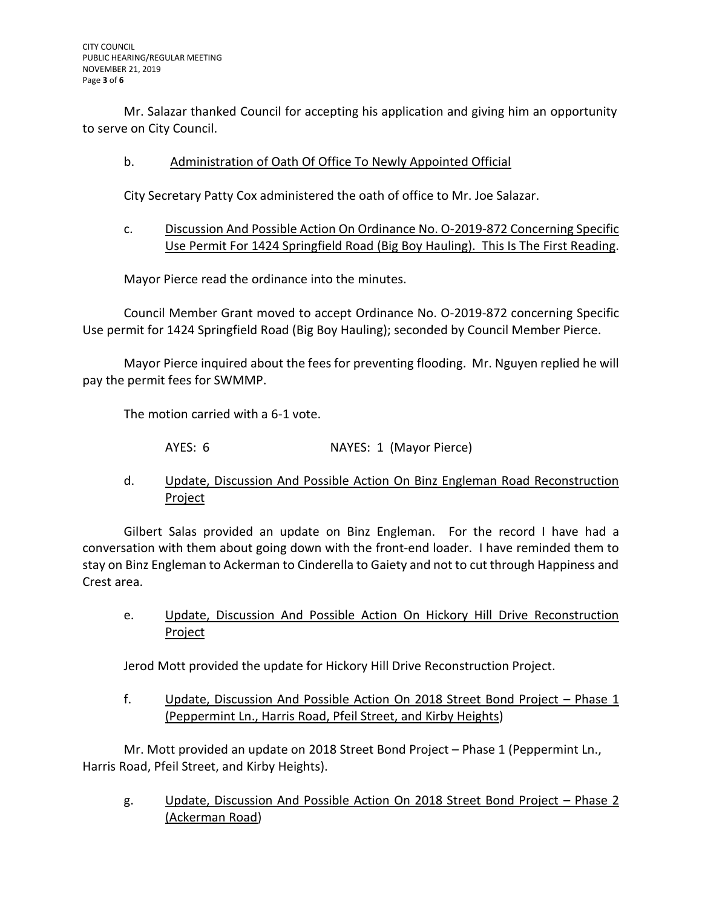Mr. Salazar thanked Council for accepting his application and giving him an opportunity to serve on City Council.

## b. Administration of Oath Of Office To Newly Appointed Official

City Secretary Patty Cox administered the oath of office to Mr. Joe Salazar.

c. Discussion And Possible Action On Ordinance No. O-2019-872 Concerning Specific Use Permit For 1424 Springfield Road (Big Boy Hauling). This Is The First Reading.

Mayor Pierce read the ordinance into the minutes.

Council Member Grant moved to accept Ordinance No. O-2019-872 concerning Specific Use permit for 1424 Springfield Road (Big Boy Hauling); seconded by Council Member Pierce.

Mayor Pierce inquired about the fees for preventing flooding. Mr. Nguyen replied he will pay the permit fees for SWMMP.

The motion carried with a 6-1 vote.

AYES: 6 NAYES: 1 (Mayor Pierce)

d. Update, Discussion And Possible Action On Binz Engleman Road Reconstruction Project

Gilbert Salas provided an update on Binz Engleman. For the record I have had a conversation with them about going down with the front-end loader. I have reminded them to stay on Binz Engleman to Ackerman to Cinderella to Gaiety and not to cut through Happiness and Crest area.

e. Update, Discussion And Possible Action On Hickory Hill Drive Reconstruction Project

Jerod Mott provided the update for Hickory Hill Drive Reconstruction Project.

f. Update, Discussion And Possible Action On 2018 Street Bond Project – Phase 1 (Peppermint Ln., Harris Road, Pfeil Street, and Kirby Heights)

Mr. Mott provided an update on 2018 Street Bond Project – Phase 1 (Peppermint Ln., Harris Road, Pfeil Street, and Kirby Heights).

g. Update, Discussion And Possible Action On 2018 Street Bond Project – Phase 2 (Ackerman Road)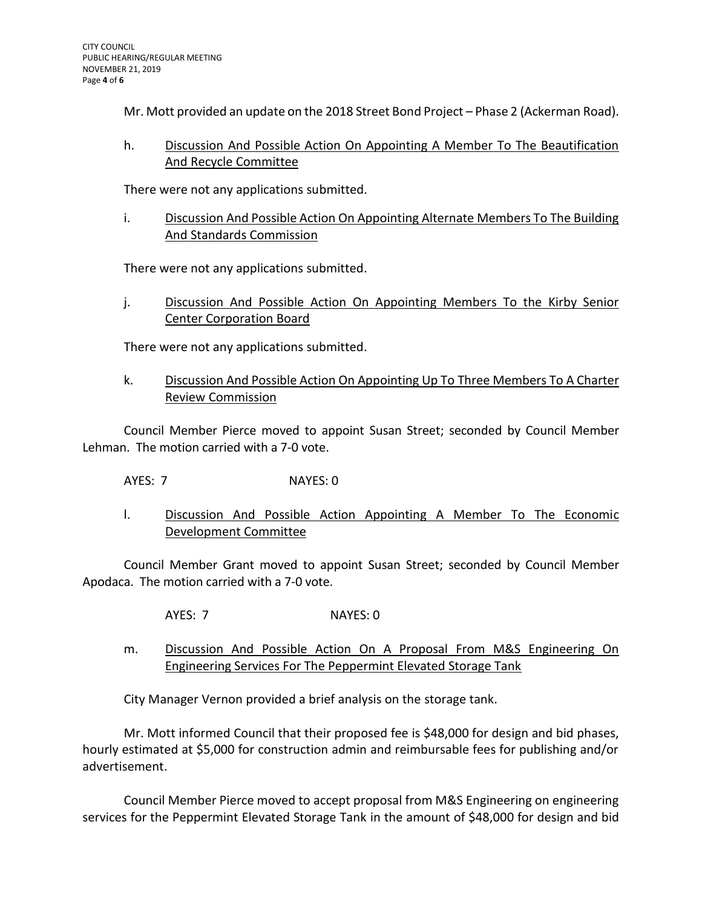Mr. Mott provided an update on the 2018 Street Bond Project – Phase 2 (Ackerman Road).

h. Discussion And Possible Action On Appointing A Member To The Beautification And Recycle Committee

There were not any applications submitted.

i. Discussion And Possible Action On Appointing Alternate Members To The Building And Standards Commission

There were not any applications submitted.

j. Discussion And Possible Action On Appointing Members To the Kirby Senior Center Corporation Board

There were not any applications submitted.

k. Discussion And Possible Action On Appointing Up To Three Members To A Charter Review Commission

Council Member Pierce moved to appoint Susan Street; seconded by Council Member Lehman. The motion carried with a 7-0 vote.

AYES: 7 NAYES: 0

l. Discussion And Possible Action Appointing A Member To The Economic Development Committee

Council Member Grant moved to appoint Susan Street; seconded by Council Member Apodaca. The motion carried with a 7-0 vote.

- AYES: 7 NAYES: 0
- m. Discussion And Possible Action On A Proposal From M&S Engineering On Engineering Services For The Peppermint Elevated Storage Tank

City Manager Vernon provided a brief analysis on the storage tank.

Mr. Mott informed Council that their proposed fee is \$48,000 for design and bid phases, hourly estimated at \$5,000 for construction admin and reimbursable fees for publishing and/or advertisement.

Council Member Pierce moved to accept proposal from M&S Engineering on engineering services for the Peppermint Elevated Storage Tank in the amount of \$48,000 for design and bid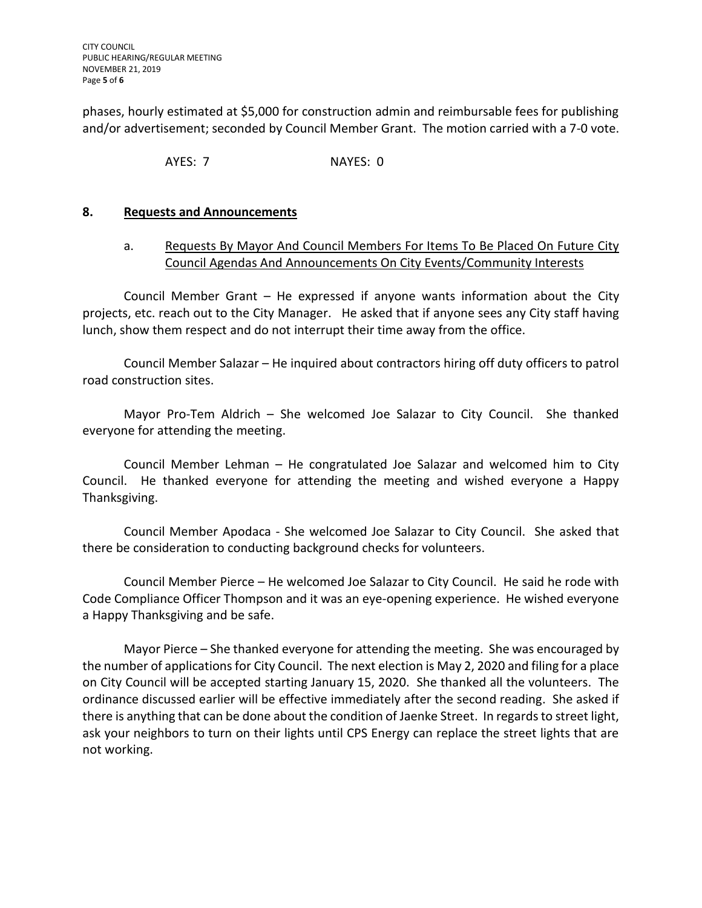phases, hourly estimated at \$5,000 for construction admin and reimbursable fees for publishing and/or advertisement; seconded by Council Member Grant. The motion carried with a 7-0 vote.

AYES: 7 NAYES: 0

## **8. Requests and Announcements**

## a. Requests By Mayor And Council Members For Items To Be Placed On Future City Council Agendas And Announcements On City Events/Community Interests

Council Member Grant – He expressed if anyone wants information about the City projects, etc. reach out to the City Manager. He asked that if anyone sees any City staff having lunch, show them respect and do not interrupt their time away from the office.

Council Member Salazar – He inquired about contractors hiring off duty officers to patrol road construction sites.

Mayor Pro-Tem Aldrich – She welcomed Joe Salazar to City Council. She thanked everyone for attending the meeting.

Council Member Lehman – He congratulated Joe Salazar and welcomed him to City Council. He thanked everyone for attending the meeting and wished everyone a Happy Thanksgiving.

Council Member Apodaca - She welcomed Joe Salazar to City Council. She asked that there be consideration to conducting background checks for volunteers.

Council Member Pierce – He welcomed Joe Salazar to City Council. He said he rode with Code Compliance Officer Thompson and it was an eye-opening experience. He wished everyone a Happy Thanksgiving and be safe.

Mayor Pierce – She thanked everyone for attending the meeting. She was encouraged by the number of applications for City Council. The next election is May 2, 2020 and filing for a place on City Council will be accepted starting January 15, 2020. She thanked all the volunteers. The ordinance discussed earlier will be effective immediately after the second reading. She asked if there is anything that can be done about the condition of Jaenke Street. In regards to street light, ask your neighbors to turn on their lights until CPS Energy can replace the street lights that are not working.